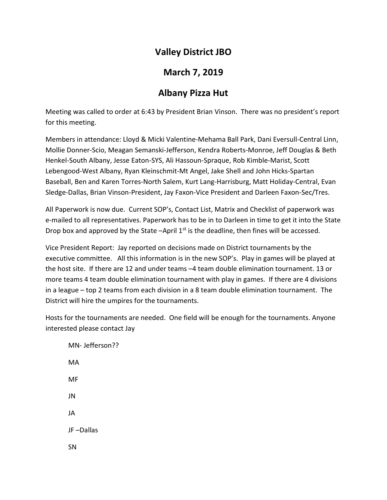## Valley District JBO

## March 7, 2019

# Albany Pizza Hut

Meeting was called to order at 6:43 by President Brian Vinson. There was no president's report for this meeting.

Members in attendance: Lloyd & Micki Valentine-Mehama Ball Park, Dani Eversull-Central Linn, Mollie Donner-Scio, Meagan Semanski-Jefferson, Kendra Roberts-Monroe, Jeff Douglas & Beth Henkel-South Albany, Jesse Eaton-SYS, Ali Hassoun-Spraque, Rob Kimble-Marist, Scott Lebengood-West Albany, Ryan Kleinschmit-Mt Angel, Jake Shell and John Hicks-Spartan Baseball, Ben and Karen Torres-North Salem, Kurt Lang-Harrisburg, Matt Holiday-Central, Evan Sledge-Dallas, Brian Vinson-President, Jay Faxon-Vice President and Darleen Faxon-Sec/Tres.

All Paperwork is now due. Current SOP's, Contact List, Matrix and Checklist of paperwork was e-mailed to all representatives. Paperwork has to be in to Darleen in time to get it into the State Drop box and approved by the State  $-A$ pril  $1<sup>st</sup>$  is the deadline, then fines will be accessed.

Vice President Report: Jay reported on decisions made on District tournaments by the executive committee. All this information is in the new SOP's. Play in games will be played at the host site. If there are 12 and under teams –4 team double elimination tournament. 13 or more teams 4 team double elimination tournament with play in games. If there are 4 divisions in a league – top 2 teams from each division in a 8 team double elimination tournament. The District will hire the umpires for the tournaments.

Hosts for the tournaments are needed. One field will be enough for the tournaments. Anyone interested please contact Jay

 MN- Jefferson?? MA MF JN JA JF –Dallas SN